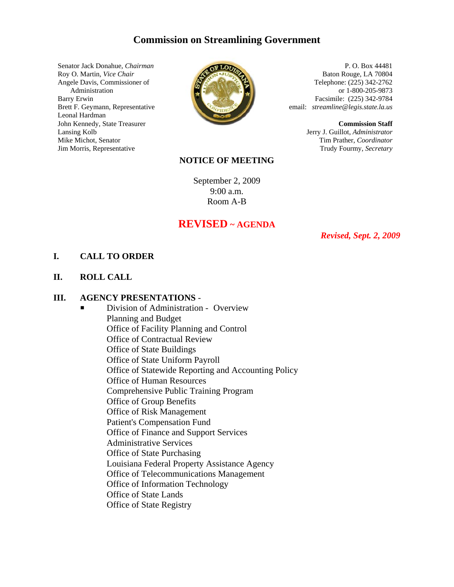# **Commission on Streamlining Government**

Senator Jack Donahue, *Chairman* Roy O. Martin, *Vice Chair* Angele Davis, Commissioner of Administration Barry Erwin Brett F. Geymann, Representative Leonal Hardman John Kennedy, State Treasurer Lansing Kolb Mike Michot, Senator Jim Morris, Representative



P. O. Box 44481 Baton Rouge, LA 70804 Telephone: (225) 342-2762 or 1-800-205-9873 Facsimile: (225) 342-9784 email: *streamline@legis.state.la.us*

> **Commission Staff** Jerry J. Guillot, *Administrator* Tim Prather, *Coordinator* Trudy Fourmy, *Secretary*

## **NOTICE OF MEETING**

September 2, 2009 9:00 a.m. Room A-B

# **REVISED ~ AGENDA**

*Revised, Sept. 2, 2009*

#### **I. CALL TO ORDER**

**II. ROLL CALL**

#### **III. AGENCY PRESENTATIONS** -

**P** Division of Administration - Overview Planning and Budget Office of Facility Planning and Control Office of Contractual Review Office of State Buildings Office of State Uniform Payroll Office of Statewide Reporting and Accounting Policy Office of Human Resources Comprehensive Public Training Program Office of Group Benefits Office of Risk Management Patient's Compensation Fund Office of Finance and Support Services Administrative Services Office of State Purchasing Louisiana Federal Property Assistance Agency Office of Telecommunications Management Office of Information Technology Office of State Lands Office of State Registry